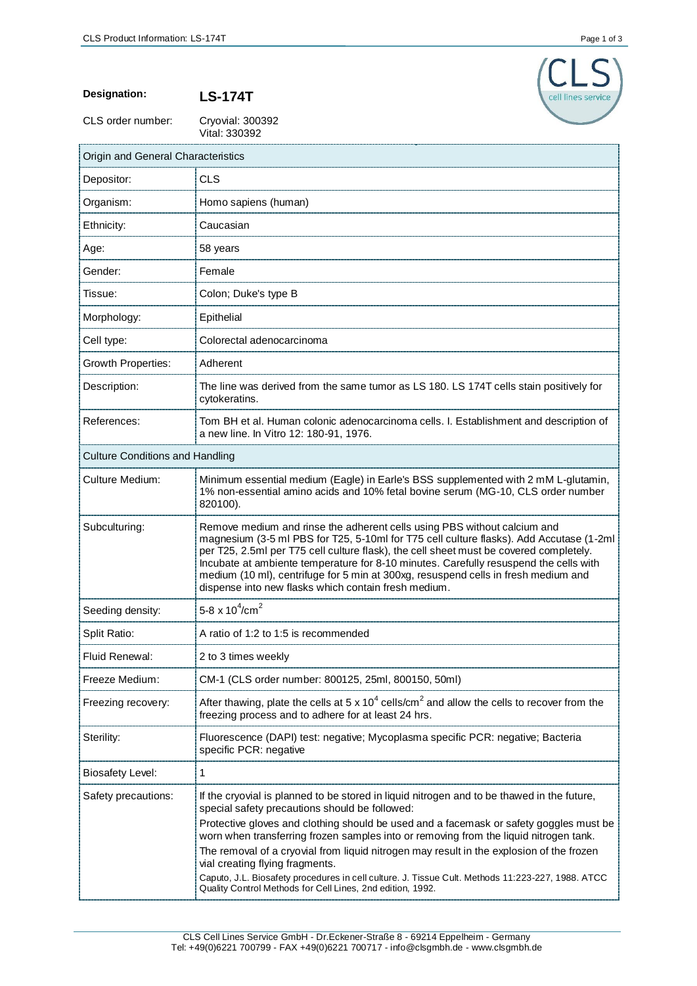

**Designation: LS-174T**

CLS order number:

Cryovial: 300392<br>Vital: 330392

| Origin and General Characteristics     |                                                                                                                                                                                                                                                                                                                                                                                                                                                                                                      |  |
|----------------------------------------|------------------------------------------------------------------------------------------------------------------------------------------------------------------------------------------------------------------------------------------------------------------------------------------------------------------------------------------------------------------------------------------------------------------------------------------------------------------------------------------------------|--|
| Depositor:                             | <b>CLS</b>                                                                                                                                                                                                                                                                                                                                                                                                                                                                                           |  |
| Organism:                              | Homo sapiens (human)                                                                                                                                                                                                                                                                                                                                                                                                                                                                                 |  |
| Ethnicity:                             | Caucasian                                                                                                                                                                                                                                                                                                                                                                                                                                                                                            |  |
| Age:                                   | 58 years                                                                                                                                                                                                                                                                                                                                                                                                                                                                                             |  |
| Gender:                                | Female                                                                                                                                                                                                                                                                                                                                                                                                                                                                                               |  |
| Tissue:                                | Colon; Duke's type B                                                                                                                                                                                                                                                                                                                                                                                                                                                                                 |  |
| Morphology:                            | Epithelial                                                                                                                                                                                                                                                                                                                                                                                                                                                                                           |  |
| Cell type:                             | Colorectal adenocarcinoma                                                                                                                                                                                                                                                                                                                                                                                                                                                                            |  |
| <b>Growth Properties:</b>              | Adherent                                                                                                                                                                                                                                                                                                                                                                                                                                                                                             |  |
| Description:                           | The line was derived from the same tumor as LS 180. LS 174T cells stain positively for<br>cytokeratins.                                                                                                                                                                                                                                                                                                                                                                                              |  |
| References:                            | Tom BH et al. Human colonic adenocarcinoma cells. I. Establishment and description of<br>a new line. In Vitro 12: 180-91, 1976.                                                                                                                                                                                                                                                                                                                                                                      |  |
| <b>Culture Conditions and Handling</b> |                                                                                                                                                                                                                                                                                                                                                                                                                                                                                                      |  |
| <b>Culture Medium:</b>                 | Minimum essential medium (Eagle) in Earle's BSS supplemented with 2 mM L-glutamin,<br>1% non-essential amino acids and 10% fetal bovine serum (MG-10, CLS order number<br>820100).                                                                                                                                                                                                                                                                                                                   |  |
| Subculturing:                          | Remove medium and rinse the adherent cells using PBS without calcium and<br>magnesium (3-5 ml PBS for T25, 5-10ml for T75 cell culture flasks). Add Accutase (1-2ml<br>per T25, 2.5ml per T75 cell culture flask), the cell sheet must be covered completely.<br>Incubate at ambiente temperature for 8-10 minutes. Carefully resuspend the cells with<br>medium (10 ml), centrifuge for 5 min at 300xg, resuspend cells in fresh medium and<br>dispense into new flasks which contain fresh medium. |  |
| Seeding density:                       | 5-8 x $10^4$ /cm <sup>2</sup>                                                                                                                                                                                                                                                                                                                                                                                                                                                                        |  |
| Split Ratio:                           | A ratio of 1:2 to 1:5 is recommended                                                                                                                                                                                                                                                                                                                                                                                                                                                                 |  |
| Fluid Renewal:                         | 2 to 3 times weekly                                                                                                                                                                                                                                                                                                                                                                                                                                                                                  |  |
| Freeze Medium:                         | CM-1 (CLS order number: 800125, 25ml, 800150, 50ml)                                                                                                                                                                                                                                                                                                                                                                                                                                                  |  |
| Freezing recovery:                     | After thawing, plate the cells at 5 x 10 <sup>4</sup> cells/cm <sup>2</sup> and allow the cells to recover from the<br>freezing process and to adhere for at least 24 hrs.                                                                                                                                                                                                                                                                                                                           |  |
| Sterility:                             | Fluorescence (DAPI) test: negative; Mycoplasma specific PCR: negative; Bacteria<br>specific PCR: negative                                                                                                                                                                                                                                                                                                                                                                                            |  |
| <b>Biosafety Level:</b>                | 1                                                                                                                                                                                                                                                                                                                                                                                                                                                                                                    |  |
| Safety precautions:                    | If the cryovial is planned to be stored in liquid nitrogen and to be thawed in the future,<br>special safety precautions should be followed:<br>Protective gloves and clothing should be used and a facemask or safety goggles must be<br>worn when transferring frozen samples into or removing from the liquid nitrogen tank.                                                                                                                                                                      |  |
|                                        | The removal of a cryovial from liquid nitrogen may result in the explosion of the frozen<br>vial creating flying fragments.<br>Caputo, J.L. Biosafety procedures in cell culture. J. Tissue Cult. Methods 11:223-227, 1988. ATCC<br>Quality Control Methods for Cell Lines, 2nd edition, 1992.                                                                                                                                                                                                       |  |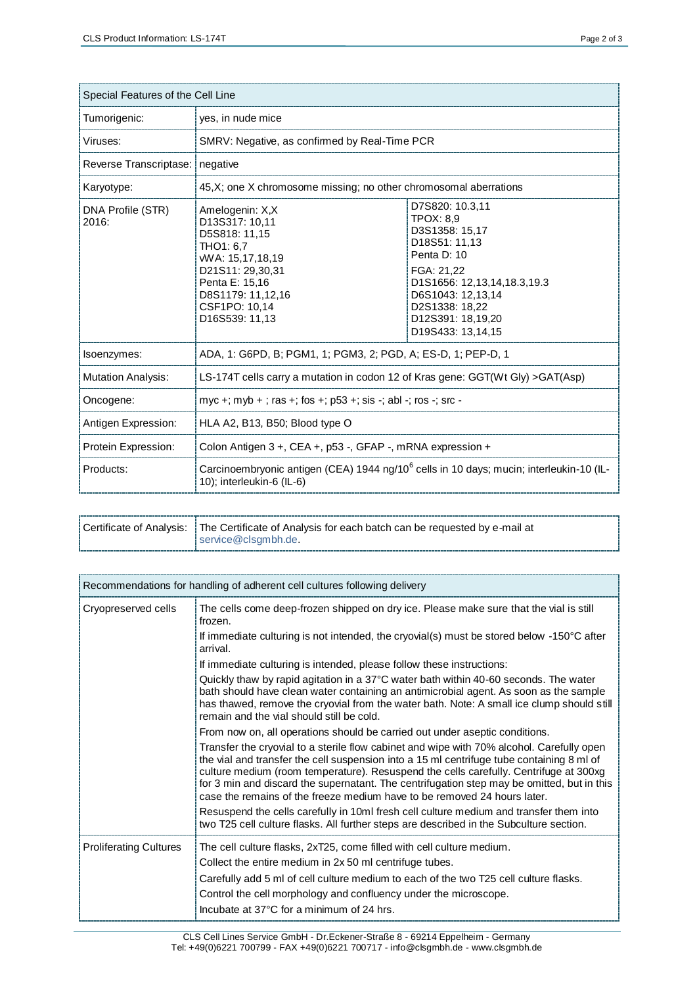| Special Features of the Cell Line |                                                                                                                                                                                  |                                                                                                                                                                                                              |  |  |
|-----------------------------------|----------------------------------------------------------------------------------------------------------------------------------------------------------------------------------|--------------------------------------------------------------------------------------------------------------------------------------------------------------------------------------------------------------|--|--|
| Tumorigenic:                      | yes, in nude mice                                                                                                                                                                |                                                                                                                                                                                                              |  |  |
| Viruses:                          | SMRV: Negative, as confirmed by Real-Time PCR                                                                                                                                    |                                                                                                                                                                                                              |  |  |
| Reverse Transcriptase:            | negative                                                                                                                                                                         |                                                                                                                                                                                                              |  |  |
| Karyotype:                        | 45, X; one X chromosome missing; no other chromosomal aberrations                                                                                                                |                                                                                                                                                                                                              |  |  |
| DNA Profile (STR)<br>2016:        | Amelogenin: X,X<br>D13S317: 10,11<br>D5S818: 11.15<br>THO1: 6.7<br>WA: 15,17,18,19<br>D21S11: 29,30,31<br>Penta E: 15,16<br>D8S1179: 11,12,16<br>CSF1PO: 10.14<br>D16S539: 11,13 | D7S820: 10.3,11<br>TPOX: 8.9<br>D3S1358: 15,17<br>D18S51: 11.13<br>Penta D: 10<br>FGA: 21,22<br>D1S1656: 12,13,14,18.3,19.3<br>D6S1043: 12.13.14<br>D2S1338: 18,22<br>D12S391: 18,19,20<br>D19S433: 13,14,15 |  |  |
| Isoenzymes:                       | ADA, 1: G6PD, B; PGM1, 1; PGM3, 2; PGD, A; ES-D, 1; PEP-D, 1                                                                                                                     |                                                                                                                                                                                                              |  |  |
| <b>Mutation Analysis:</b>         | LS-174T cells carry a mutation in codon 12 of Kras gene: GGT(Wt Gly) > GAT(Asp)                                                                                                  |                                                                                                                                                                                                              |  |  |
| Oncogene:                         | myc +; myb + ; ras +; fos +; p53 +; sis -; abl -; ros -; src -                                                                                                                   |                                                                                                                                                                                                              |  |  |
| Antigen Expression:               | HLA A2, B13, B50; Blood type O                                                                                                                                                   |                                                                                                                                                                                                              |  |  |
| Protein Expression:               | Colon Antigen $3 +$ , CEA $+$ , p53 -, GFAP -, mRNA expression $+$                                                                                                               |                                                                                                                                                                                                              |  |  |
| Products:                         | Carcinoembryonic antigen (CEA) 1944 ng/10 <sup>6</sup> cells in 10 days; mucin; interleukin-10 (IL-<br>10); interleukin-6 (IL-6)                                                 |                                                                                                                                                                                                              |  |  |

| Certificate of Analysis:   The Certificate of Analysis for each batch can be requested by e-mail at<br>service@clsgmbh.de. |  |
|----------------------------------------------------------------------------------------------------------------------------|--|
|----------------------------------------------------------------------------------------------------------------------------|--|

| Recommendations for handling of adherent cell cultures following delivery |                                                                                                                                                                                                                                                                                                                                                                                                                                                           |  |
|---------------------------------------------------------------------------|-----------------------------------------------------------------------------------------------------------------------------------------------------------------------------------------------------------------------------------------------------------------------------------------------------------------------------------------------------------------------------------------------------------------------------------------------------------|--|
| Cryopreserved cells                                                       | The cells come deep-frozen shipped on dry ice. Please make sure that the vial is still<br>frozen.                                                                                                                                                                                                                                                                                                                                                         |  |
|                                                                           | If immediate culturing is not intended, the cryovial(s) must be stored below -150°C after<br>arrival.                                                                                                                                                                                                                                                                                                                                                     |  |
|                                                                           | If immediate culturing is intended, please follow these instructions:                                                                                                                                                                                                                                                                                                                                                                                     |  |
|                                                                           | Quickly thaw by rapid agitation in a 37 $\degree$ C water bath within 40-60 seconds. The water<br>bath should have clean water containing an antimicrobial agent. As soon as the sample<br>has thawed, remove the cryovial from the water bath. Note: A small ice clump should still<br>remain and the vial should still be cold.                                                                                                                         |  |
|                                                                           | From now on, all operations should be carried out under aseptic conditions.                                                                                                                                                                                                                                                                                                                                                                               |  |
|                                                                           | Transfer the cryovial to a sterile flow cabinet and wipe with 70% alcohol. Carefully open<br>the vial and transfer the cell suspension into a 15 ml centrifuge tube containing 8 ml of<br>culture medium (room temperature). Resuspend the cells carefully. Centrifuge at 300xg<br>for 3 min and discard the supernatant. The centrifugation step may be omitted, but in this<br>case the remains of the freeze medium have to be removed 24 hours later. |  |
|                                                                           | Resuspend the cells carefully in 10ml fresh cell culture medium and transfer them into<br>two T25 cell culture flasks. All further steps are described in the Subculture section.                                                                                                                                                                                                                                                                         |  |
| <b>Proliferating Cultures</b>                                             | The cell culture flasks, 2xT25, come filled with cell culture medium.<br>Collect the entire medium in 2x 50 ml centrifuge tubes.<br>Carefully add 5 ml of cell culture medium to each of the two T25 cell culture flasks.<br>Control the cell morphology and confluency under the microscope.<br>Incubate at 37°C for a minimum of 24 hrs.                                                                                                                |  |